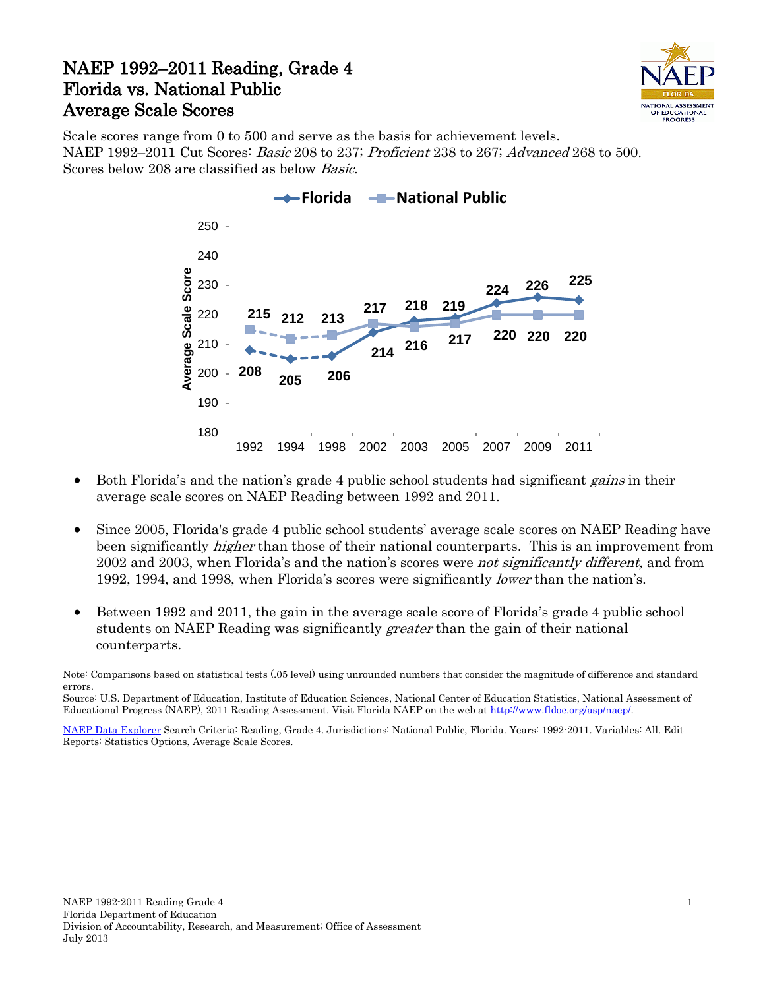## NAEP 1992–2011 Reading, Grade 4 Florida vs. National Public Average Scale Scores



Scale scores range from 0 to 500 and serve as the basis for achievement levels. NAEP 1992–2011 Cut Scores: Basic 208 to 237; Proficient 238 to 267; Advanced 268 to 500. Scores below 208 are classified as below Basic.



- Both Florida's and the nation's grade 4 public school students had significant *gains* in their average scale scores on NAEP Reading between 1992 and 2011.
- Since 2005, Florida's grade 4 public school students' average scale scores on NAEP Reading have been significantly *higher* than those of their national counterparts. This is an improvement from 2002 and 2003, when Florida's and the nation's scores were *not significantly different*, and from 1992, 1994, and 1998, when Florida's scores were significantly *lower* than the nation's.
- Between 1992 and 2011, the gain in the average scale score of Florida's grade 4 public school students on NAEP Reading was significantly *greater* than the gain of their national counterparts.

Note: Comparisons based on statistical tests (.05 level) using unrounded numbers that consider the magnitude of difference and standard errors.

Source: U.S. Department of Education, Institute of Education Sciences, National Center of Education Statistics, National Assessment of Educational Progress (NAEP), 2011 Reading Assessment. Visit Florida NAEP on the web a[t http://www.fldoe.org/asp/naep/.](http://www.fldoe.org/asp/naep/)

[NAEP Data Explorer](http://nces.ed.gov/nationsreportcard/naepdata/) Search Criteria: Reading, Grade 4. Jurisdictions: National Public, Florida. Years: 1992-2011. Variables: All. Edit Reports: Statistics Options, Average Scale Scores.